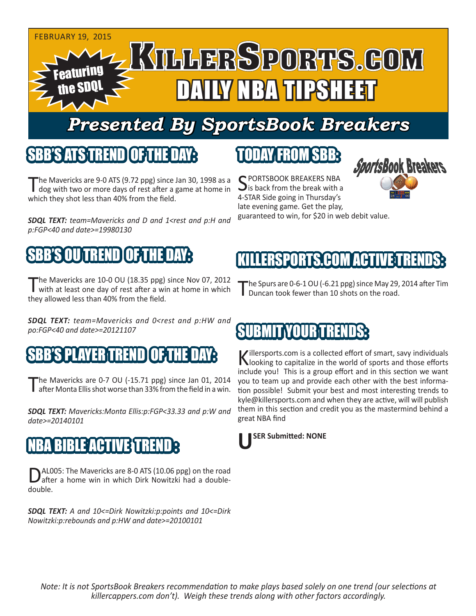

# *Presented By SportsBook Breakers*

#### SBB'S ATSTEREND

The Mavericks are 9-0 ATS (9.72 ppg) since Jan 30, 1998 as a dog with two or more days of rest after a game at home in which they shot less than 40% from the field.

*SDQL TEXT: team=Mavericks and D and 1<rest and p:H and p:FGP<40 and date>=19980130*

## SBB'S OU TREND OF THE DAY:

The Mavericks are 10-0 OU (18.35 ppg) since Nov 07, 2012<br>with at least one day of rest after a win at home in which they allowed less than 40% from the field.

*SDQL TEXT: team=Mavericks and 0<rest and p:HW and po:FGP<40 and date>=20121107*

#### SBB'S PLAYER TREND OF THE DAY:

The Mavericks are 0-7 OU (-15.71 ppg) since Jan 01, 2014<br>
after Monta Ellis shot worse than 33% from the field in a win.

*SDQL TEXT: Mavericks:Monta Ellis:p:FGP<33.33 and p:W and date>=20140101*

#### LE ACTIVEST

AL005: The Mavericks are 8-0 ATS (10.06 ppg) on the road after a home win in which Dirk Nowitzki had a doubledouble.

*SDQL TEXT: A and 10<=Dirk Nowitzki:p:points and 10<=Dirk Nowitzki:p:rebounds and p:HW and date>=20100101*

#### TODAY FROM SBB:

C PORTSBOOK BREAKERS NBA  $\mathbf{\sum}$  is back from the break with a 4-STAR Side going in Thursday's late evening game. Get the play, guaranteed to win, for \$20 in web debit value.



## ERSPORTS.COM ACTIVE T

The Spurs are 0-6-1 OU (-6.21 ppg) since May 29, 2014 after Tim Duncan took fewer than 10 shots on the road.

## **TYOUR TREN**

Killersports.com is a collected effort of smart, savy individuals<br>Nooking to capitalize in the world of sports and those efforts include you! This is a group effort and in this section we want you to team up and provide each other with the best information possible! Submit your best and most interesting trends to kyle@killersports.com and when they are active, will will publish them in this section and credit you as the mastermind behind a great NBA find



*Note: It is not SportsBook Breakers recommendation to make plays based solely on one trend (our selections at killercappers.com don't). Weigh these trends along with other factors accordingly.*